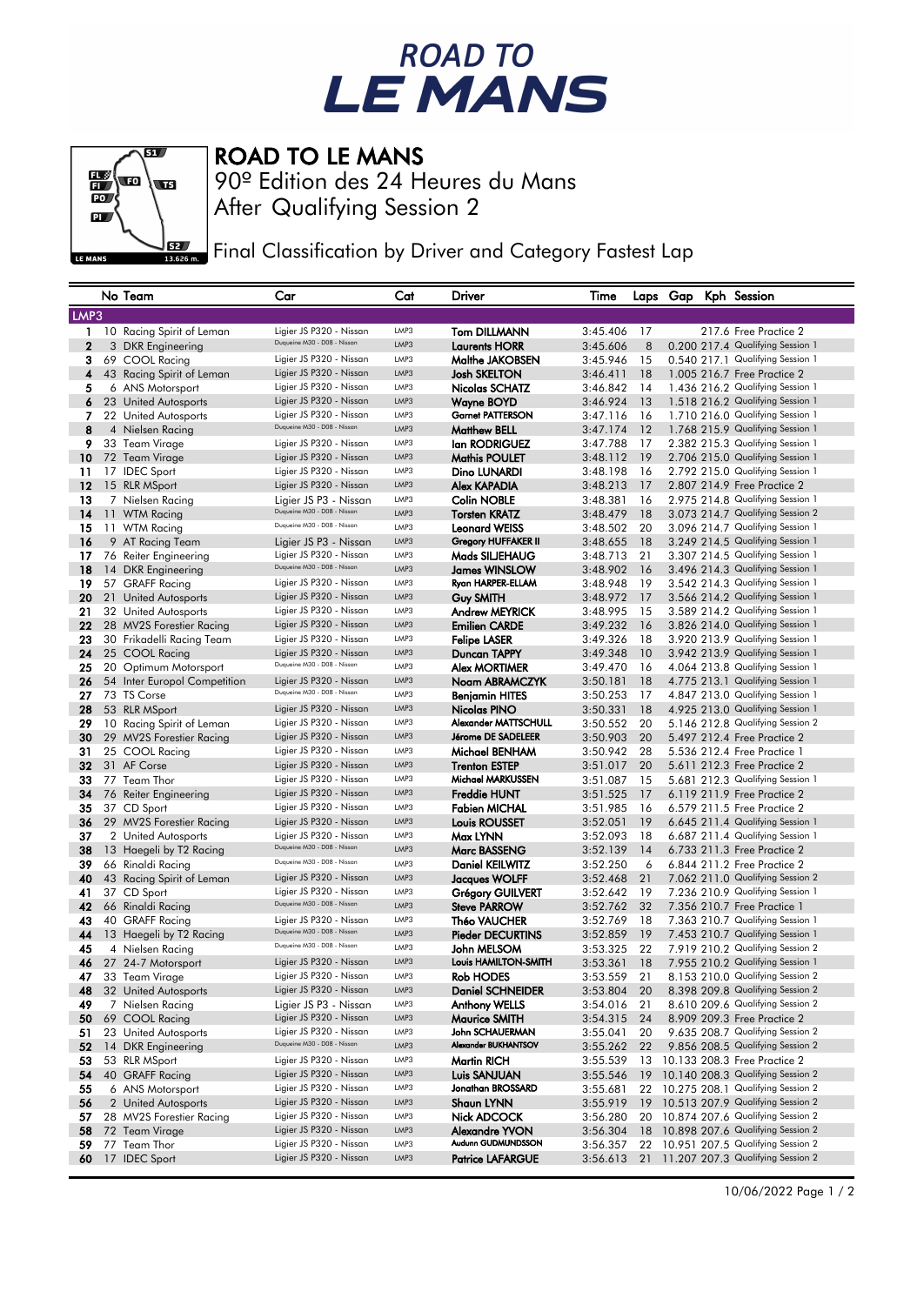## ROAD TO<br>LE MANS



## ROAD TO LE MANS

After Qualifying Session 2 90º Edition des 24 Heures du Mans

Final Classification by Driver and Category Fastest Lap

|                |      | No Team                               | Car                                                  | Cat  | Driver                                      | Time                 |           | Laps Gap |  | Kph Session                                                          |
|----------------|------|---------------------------------------|------------------------------------------------------|------|---------------------------------------------|----------------------|-----------|----------|--|----------------------------------------------------------------------|
|                | LMP3 |                                       |                                                      |      |                                             |                      |           |          |  |                                                                      |
|                |      | 1 10 Racing Spirit of Leman           | Ligier JS P320 - Nissan                              | LMP3 | <b>Tom DILLMANN</b>                         | 3:45.406             | 17        |          |  | 217.6 Free Practice 2                                                |
| $\overline{2}$ |      | 3 DKR Engineering                     | Duqueine M30 - D08 - Nissan                          | LMP3 | <b>Laurents HORR</b>                        | 3:45.606             | 8         |          |  | 0.200 217.4 Qualifying Session 1                                     |
| з              |      | 69 COOL Racing                        | Ligier JS P320 - Nissan                              | LMP3 | Malthe JAKOBSEN                             | 3:45.946             | 15        |          |  | 0.540 217.1 Qualifying Session 1                                     |
| 4              |      | 43 Racing Spirit of Leman             | Ligier JS P320 - Nissan                              | LMP3 | <b>Josh SKELTON</b>                         | 3:46.411             | 18        |          |  | 1.005 216.7 Free Practice 2                                          |
| 5              |      | 6 ANS Motorsport                      | Ligier JS P320 - Nissan                              | LMP3 | Nicolas SCHATZ                              | 3:46.842             | 14        |          |  | 1.436 216.2 Qualifying Session 1                                     |
| 6              |      | 23 United Autosports                  | Ligier JS P320 - Nissan                              | LMP3 | Wayne BOYD                                  | 3:46.924             | 13        |          |  | 1.518 216.2 Qualifying Session 1                                     |
| 7.             |      |                                       | Ligier JS P320 - Nissan                              | LMP3 | <b>Garnet PATTERSON</b>                     | 3:47.116             | - 16      |          |  | 1.710 216.0 Qualifying Session 1                                     |
| 8              |      | 22 United Autosports                  | Duqueine M30 - D08 - Nissan                          | LMP3 | <b>Matthew BELL</b>                         | 3:47.174             | 12        |          |  | 1.768 215.9 Qualifying Session 1                                     |
| 9              |      | 4 Nielsen Racing<br>33 Team Virage    | Ligier JS P320 - Nissan                              | LMP3 | lan RODRIGUEZ                               | 3:47.788             | -17       |          |  | 2.382 215.3 Qualifying Session 1                                     |
| 10             |      | 72 Team Virage                        | Ligier JS P320 - Nissan                              | LMP3 | <b>Mathis POULET</b>                        | 3:48.112             | 19        |          |  | 2.706 215.0 Qualifying Session 1                                     |
| 11             |      |                                       | Ligier JS P320 - Nissan                              | LMP3 | Dino LUNARDI                                |                      |           |          |  | 2.792 215.0 Qualifying Session 1                                     |
| 12             |      | 17 IDEC Sport                         | Ligier JS P320 - Nissan                              | LMP3 | Alex KAPADIA                                | 3:48.198<br>3:48.213 | -16<br>17 |          |  | 2.807 214.9 Free Practice 2                                          |
| 13             |      | 15 RLR MSport                         |                                                      | LMP3 |                                             |                      |           |          |  | 2.975 214.8 Qualifying Session 1                                     |
| 14             |      | 7 Nielsen Racing                      | Ligier JS P3 - Nissan<br>Duqueine M30 - D08 - Nissan | LMP3 | <b>Colin NOBLE</b>                          | 3:48.381             | 16        |          |  |                                                                      |
|                |      | 11 WTM Racing<br>11 WTM Racing        | Duqueine M30 - D08 - Nissan                          | LMP3 | <b>Torsten KRATZ</b>                        | 3:48.479<br>3:48.502 | 18<br>20  |          |  | 3.073 214.7 Qualifying Session 2<br>3.096 214.7 Qualifying Session 1 |
| 15<br>16       |      |                                       |                                                      | LMP3 | <b>Leonard WEISS</b><br>Gregory HUFFAKER II | 3:48.655             | 18        |          |  | 3.249 214.5 Qualifying Session 1                                     |
| 17             |      | 9 AT Racing Team                      | Ligier JS P3 - Nissan<br>Ligier JS P320 - Nissan     | LMP3 | Mads SILJEHAUG                              | 3:48.713             | 21        |          |  | 3.307 214.5 Qualifying Session 1                                     |
| 18             |      | 76 Reiter Engineering                 | Duqueine M30 - D08 - Nissan                          | LMP3 |                                             | 3:48.902             | 16        |          |  | 3.496 214.3 Qualifying Session 1                                     |
| 19             |      | 14 DKR Engineering<br>57 GRAFF Racing | Ligier JS P320 - Nissan                              | LMP3 | James WINSLOW<br>Ryan HARPER-ELLAM          | 3:48.948             | 19        |          |  | 3.542 214.3 Qualifying Session 1                                     |
| 20             |      | 21 United Autosports                  | Ligier JS P320 - Nissan                              | LMP3 | Guy SMITH                                   | 3:48.972             | 17        |          |  | 3.566 214.2 Qualifying Session 1                                     |
| 21             |      | 32 United Autosports                  | Ligier JS P320 - Nissan                              | LMP3 | <b>Andrew MEYRICK</b>                       | 3:48.995             | -15       |          |  | 3.589 214.2 Qualifying Session 1                                     |
| 22             |      | 28 MV2S Forestier Racing              | Ligier JS P320 - Nissan                              | LMP3 | <b>Emilien CARDE</b>                        | 3:49.232             | 16        |          |  | 3.826 214.0 Qualifying Session 1                                     |
| 23             |      | 30 Frikadelli Racing Team             | Ligier JS P320 - Nissan                              | LMP3 | <b>Felipe LASER</b>                         | 3:49.326             | 18        |          |  | 3.920 213.9 Qualifying Session 1                                     |
| 24             |      | 25 COOL Racing                        | Ligier JS P320 - Nissan                              | LMP3 | Duncan TAPPY                                | 3:49.348             | 10        |          |  | 3.942 213.9 Qualifying Session 1                                     |
| 25             |      | 20 Optimum Motorsport                 | Duqueine M30 - D08 - Nissan                          | LMP3 | <b>Alex MORTIMER</b>                        | 3:49.470             | 16        |          |  | 4.064 213.8 Qualifying Session 1                                     |
| 26             |      | 54 Inter Europol Competition          | Ligier JS P320 - Nissan                              | LMP3 | Noam ABRAMCZYK                              | 3:50.181             | 18        |          |  | 4.775 213.1 Qualifying Session 1                                     |
| 27             |      | 73 TS Corse                           | Duqueine M30 - D08 - Nissan                          | LMP3 | <b>Benjamin HITES</b>                       | 3:50.253             | 17        |          |  | 4.847 213.0 Qualifying Session 1                                     |
| 28             |      | 53 RLR MSport                         | Ligier JS P320 - Nissan                              | LMP3 | Nicolas PINO                                | 3:50.331             | 18        |          |  | 4.925 213.0 Qualifying Session 1                                     |
| 29             |      | 10 Racing Spirit of Leman             | Ligier JS P320 - Nissan                              | LMP3 | Alexander MATTSCHULL                        | 3:50.552             | 20        |          |  | 5.146 212.8 Qualifying Session 2                                     |
| 30             |      | 29 MV2S Forestier Racing              | Ligier JS P320 - Nissan                              | LMP3 | Jérome DE SADELEER                          | 3:50.903             | 20        |          |  | 5.497 212.4 Free Practice 2                                          |
| 31             |      | 25 COOL Racing                        | Ligier JS P320 - Nissan                              | LMP3 | Michael BENHAM                              | 3:50.942             | 28        |          |  | 5.536 212.4 Free Practice 1                                          |
| 32             |      | 31 AF Corse                           | Ligier JS P320 - Nissan                              | LMP3 | <b>Trenton ESTEP</b>                        | 3:51.017             | 20        |          |  | 5.611 212.3 Free Practice 2                                          |
| 33             |      | 77 Team Thor                          | Ligier JS P320 - Nissan                              | LMP3 | <b>Michael MARKUSSEN</b>                    | 3:51.087             | 15        |          |  | 5.681 212.3 Qualifying Session 1                                     |
| 34             |      | 76 Reiter Engineering                 | Ligier JS P320 - Nissan                              | LMP3 | <b>Freddie HUNT</b>                         | 3:51.525             | 17        |          |  | 6.119 211.9 Free Practice 2                                          |
| 35             |      | 37 CD Sport                           | Ligier JS P320 - Nissan                              | LMP3 | <b>Fabien MICHAL</b>                        | 3:51.985             | 16        |          |  | 6.579 211.5 Free Practice 2                                          |
| 36             |      | 29 MV2S Forestier Racing              | Ligier JS P320 - Nissan                              | LMP3 | <b>Louis ROUSSET</b>                        | 3:52.051             | 19        |          |  | 6.645 211.4 Qualifying Session 1                                     |
| 37             |      | 2 United Autosports                   | Ligier JS P320 - Nissan                              | LMP3 | Max LYNN                                    | 3:52.093             | 18        |          |  | 6.687 211.4 Qualifying Session 1                                     |
| 38             |      | 13 Haegeli by T2 Racing               | Duqueine M30 - D08 - Nissan                          | LMP3 | <b>Marc BASSENG</b>                         | 3:52.139             | 14        |          |  | 6.733 211.3 Free Practice 2                                          |
| 39             |      | 66 Rinaldi Racing                     | Duqueine M30 - D08 - Nissan                          | LMP3 | <b>Daniel KEILWITZ</b>                      | 3:52.250             | 6         |          |  | 6.844 211.2 Free Practice 2                                          |
| 40             |      | 43 Racing Spirit of Leman             | Ligier JS P320 - Nissan                              | LMP3 | Jacques WOLFF                               | 3:52.468             | 21        |          |  | 7.062 211.0 Qualifying Session 2                                     |
| 41             |      | 37 CD Sport                           | Ligier JS P320 - Nissan                              | LMP3 | Grégory GUILVERT                            | 3:52.642             | 19        |          |  | 7.236 210.9 Qualifying Session 1                                     |
| 42             |      | 66 Rinaldi Racing                     | Duqueine M30 - D08 - Nissan                          | LMP3 | <b>Steve PARROW</b>                         | 3:52.762             | 32        |          |  | 7.356 210.7 Free Practice 1                                          |
| 43             |      | 40 GRAFF Racing                       | Ligier JS P320 - Nissan                              | LMP3 | Théo VAUCHER                                | 3:52.769             | 18        |          |  | 7.363 210.7 Qualifying Session 1                                     |
| 44             |      | 13 Haegeli by T2 Racing               | Duqueine M30 - D08 - Nissan                          | LMP3 | <b>Pieder DECURTINS</b>                     | 3:52.859             | 19        |          |  | 7.453 210.7 Qualifying Session 1                                     |
| 45             |      | 4 Nielsen Racing                      | Duqueine M30 - D08 - Nissan                          | LMP3 | John MELSOM                                 | 3:53.325             | 22        |          |  | 7.919 210.2 Qualifying Session 2                                     |
| 46             |      | 27 24-7 Motorsport                    | Ligier JS P320 - Nissan                              | LMP3 | Louis HAMILTON-SMITH                        | 3:53.361             | 18        |          |  | 7.955 210.2 Qualifying Session 1                                     |
| 47             |      | 33 Team Virage                        | Ligier JS P320 - Nissan                              | LMP3 | Rob HODES                                   | 3:53.559             | 21        |          |  | 8.153 210.0 Qualifying Session 2                                     |
| 48             |      | 32 United Autosports                  | Ligier JS P320 - Nissan                              | LMP3 | Daniel SCHNEIDER                            | 3:53.804             | 20        |          |  | 8.398 209.8 Qualitying Session 2                                     |
| 49             |      | 7 Nielsen Racing                      | Ligier JS P3 - Nissan                                | LMP3 | <b>Anthony WELLS</b>                        | 3:54.016             | 21        |          |  | 8.610 209.6 Qualifying Session 2                                     |
| 50             |      | 69 COOL Racing                        | Ligier JS P320 - Nissan                              | LMP3 | <b>Maurice SMITH</b>                        | 3:54.315             | 24        |          |  | 8.909 209.3 Free Practice 2                                          |
| 51             |      | 23 United Autosports                  | Ligier JS P320 - Nissan                              | LMP3 | John SCHAUERMAN                             | 3:55.041             | 20        |          |  | 9.635 208.7 Qualifying Session 2                                     |
| 52             |      | 14 DKR Engineering                    | Duqueine M30 - D08 - Nissan                          | LMP3 | Alexander BUKHANTSOV                        | 3:55.262             | 22        |          |  | 9.856 208.5 Qualifying Session 2                                     |
| 53             |      | 53 RLR MSport                         | Ligier JS P320 - Nissan                              | LMP3 | Martin RICH                                 | 3:55.539             | 13        |          |  | 10.133 208.3 Free Practice 2                                         |
| 54             |      | 40 GRAFF Racing                       | Ligier JS P320 - Nissan                              | LMP3 | Luis SANJUAN                                | 3:55.546             |           |          |  | 19 10.140 208.3 Qualifying Session 2                                 |
| 55             |      | 6 ANS Motorsport                      | Ligier JS P320 - Nissan                              | LMP3 | Jonathan BROSSARD                           | 3:55.681             |           |          |  | 22 10.275 208.1 Qualifying Session 2                                 |
| 56             |      | 2 United Autosports                   | Ligier JS P320 - Nissan                              | LMP3 | <b>Shaun LYNN</b>                           | 3:55.919             |           |          |  | 19 10.513 207.9 Qualifying Session 2                                 |
| 57             |      | 28 MV2S Forestier Racing              | Ligier JS P320 - Nissan                              | LMP3 | Nick ADCOCK                                 | 3:56.280             |           |          |  | 20 10.874 207.6 Qualifying Session 2                                 |
| 58             |      | 72 Team Virage                        | Ligier JS P320 - Nissan                              | LMP3 | Alexandre YVON                              | 3:56.304             |           |          |  | 18 10.898 207.6 Qualifying Session 2                                 |
| 59             |      | 77 Team Thor                          | Ligier JS P320 - Nissan                              | LMP3 | Audunn GUDMUNDSSON                          | 3:56.357             |           |          |  | 22 10.951 207.5 Qualifying Session 2                                 |
| 60             |      | 17 IDEC Sport                         | Ligier JS P320 - Nissan                              | LMP3 | <b>Patrice LAFARGUE</b>                     | 3:56.613             |           |          |  | 21 11.207 207.3 Qualifying Session 2                                 |
|                |      |                                       |                                                      |      |                                             |                      |           |          |  |                                                                      |

10/06/2022 Page 1 / 2